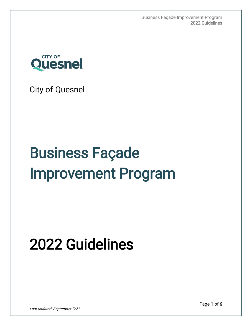Business Façade Improvement Program 2022 Guidelines



City of Quesnel

# Business Façade Improvement Program

# 2022 Guidelines

Page 1 of 6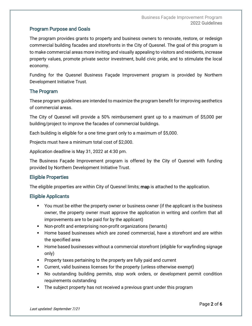# Program Purpose and Goals

The program provides grants to property and business owners to renovate, restore, or redesign commercial building facades and storefronts in the City of Quesnel. The goal of this program is to make commercial areas more inviting and visually appealing to visitors and residents, increase property values, promote private sector investment, build civic pride, and to stimulate the local economy.

Funding for the Quesnel Business Façade Improvement program is provided by Northern Development Initiative Trust.

# The Program

These program guidelines are intended to maximize the program benefit for improving aesthetics of commercial areas.

The City of Quesnel will provide a 50% reimbursement grant up to a maximum of \$5,000 per building/project to improve the facades of commercial buildings.

Each building is eligible for a one time grant only to a maximum of \$5,000.

Projects must have a minimum total cost of \$2,000.

Application deadline is May 31, 2022 at 4:30 pm.

The Business Façade Improvement program is offered by the City of Quesnel with funding provided by Northern Development Initiative Trust.

#### Eligible Properties

The eligible properties are within City of Quesnel limits; **map** is attached to the application.

#### Eligible Applicants

- You must be either the property owner or business owner (if the applicant is the business owner, the property owner must approve the application in writing and confirm that all improvements are to be paid for by the applicant)
- Non-profit and enterprising non-profit organizations (tenants)
- Home based businesses which are zoned commercial, have a storefront and are within the specified area
- **Home based businesses without a commercial storefront (eligible for wayfinding signage** only)
- **Property taxes pertaining to the property are fully paid and current**
- Current, valid business licenses for the property (unless otherwise exempt)
- No outstanding building permits, stop work orders, or development permit condition requirements outstanding
- The subject property has not received a previous grant under this program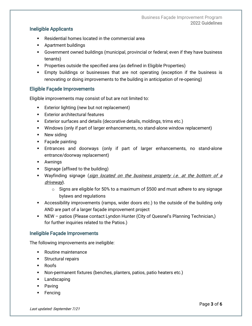# Ineligible Applicants

- Residential homes located in the commercial area
- **Apartment buildings**
- Government owned buildings (municipal, provincial or federal; even if they have business tenants)
- **Properties outside the specified area (as defined in Eligible Properties)**
- Empty buildings or businesses that are not operating (exception if the business is renovating or doing improvements to the building in anticipation of re-opening)

# Eligible Façade Improvements

Eligible improvements may consist of but are not limited to:

- **Exterior lighting (new but not replacement)**
- **Exterior architectural features**
- Exterior surfaces and details (decorative details, moldings, trims etc.)
- Windows (only if part of larger enhancements, no stand-alone window replacement)
- **New siding**
- **Facade painting**
- Entrances and doorways (only if part of larger enhancements, no stand-alone entrance/doorway replacement)
- Awnings
- **Signage (affixed to the building)**
- **Wayfinding signage (sign located on the business property i.e. at the bottom of a** driveway).
	- $\circ$  Signs are eligible for 50% to a maximum of \$500 and must adhere to any signage bylaws and regulations
- Accessibility improvements (ramps, wider doors etc.) to the outside of the building only AND are part of a larger façade improvement project
- NEW patios (Please contact Lyndon Hunter (City of Quesnel's Planning Technician,) for further inquiries related to the Patios.)

# Ineligible Façade Improvements

The following improvements are ineligible:

- Routine maintenance
- **Structural repairs**
- Roofs
- Non-permanent fixtures (benches, planters, patios, patio heaters etc.)
- **Landscaping**
- **Paving**
- **Fencing**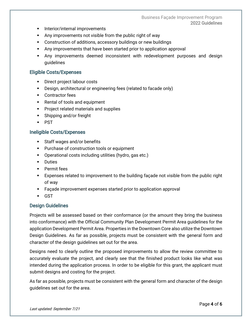- **Interior/internal improvements**
- Any improvements not visible from the public right of way
- Construction of additions, accessory buildings or new buildings
- Any improvements that have been started prior to application approval
- Any improvements deemed inconsistent with redevelopment purposes and design guidelines

#### Eligible Costs/Expenses

- **Direct project labour costs**
- Design, architectural or engineering fees (related to facade only)
- **•** Contractor fees
- **Rental of tools and equipment**
- **Project related materials and supplies**
- **Shipping and/or freight**
- **PST**

#### Ineligible Costs/Expenses

- **Staff wages and/or benefits**
- **Purchase of construction tools or equipment**
- Operational costs including utilities (hydro, gas etc.)
- **Duties**
- **Permit fees**
- Expenses related to improvement to the building façade not visible from the public right of way
- Façade improvement expenses started prior to application approval
- GST

#### Design Guidelines

Projects will be assessed based on their conformance (or the amount they bring the business into conformance) with the Official Community Plan Development Permit Area guidelines for the application Development Permit Area. Properties in the Downtown Core also utilize the Downtown Design Guidelines. As far as possible, projects must be consistent with the general form and character of the design guidelines set out for the area.

Designs need to clearly outline the proposed improvements to allow the review committee to accurately evaluate the project, and clearly see that the finished product looks like what was intended during the application process. In order to be eligible for this grant, the applicant must submit designs and costing for the project.

As far as possible, projects must be consistent with the general form and character of the design guidelines set out for the area.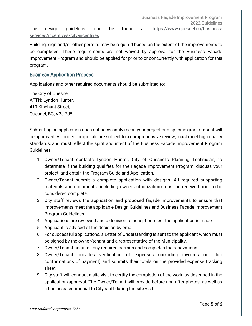The design guidelines can be found at [https://www.quesnel.ca/business](https://www.quesnel.ca/business-services/incentives/city-incentives)[services/incentives/city-incentives](https://www.quesnel.ca/business-services/incentives/city-incentives)

Building, sign and/or other permits may be required based on the extent of the improvements to be completed. These requirements are not waived by approval for the Business Façade Improvement Program and should be applied for prior to or concurrently with application for this program.

#### Business Application Process

Applications and other required documents should be submitted to:

The City of Quesnel ATTN: Lyndon Hunter, 410 Kinchant Street, Quesnel, BC, V2J 7J5

Submitting an application does not necessarily mean your project or a specific grant amount will be approved. All project proposals are subject to a comprehensive review, must meet high quality standards, and must reflect the spirit and intent of the Business Façade Improvement Program Guidelines.

- 1. Owner/Tenant contacts Lyndon Hunter, City of Quesnel's Planning Technician, to determine if the building qualifies for the Façade Improvement Program, discuss your project, and obtain the Program Guide and Application.
- 2. Owner/Tenant submit a complete application with designs. All required supporting materials and documents (including owner authorization) must be received prior to be considered complete.
- 3. City staff reviews the application and proposed façade improvements to ensure that improvements meet the applicable Design Guidelines and Business Façade Improvement Program Guidelines.
- 4. Applications are reviewed and a decision to accept or reject the application is made.
- 5. Applicant is advised of the decision by email.
- 6. For successful applications, a Letter of Understanding is sent to the applicant which must be signed by the owner/tenant and a representative of the Municipality.
- 7. Owner/Tenant acquires any required permits and completes the renovations.
- 8. Owner/Tenant provides verification of expenses (including invoices or other conformations of payment) and submits their totals on the provided expense tracking sheet.
- 9. City staff will conduct a site visit to certify the completion of the work, as described in the application/approval. The Owner/Tenant will provide before and after photos, as well as a business testimonial to City staff during the site visit.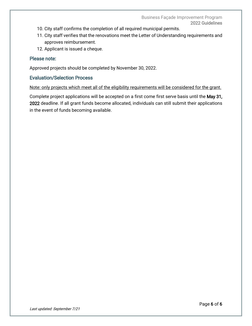- 10. City staff confirms the completion of all required municipal permits.
- 11. City staff verifies that the renovations meet the Letter of Understanding requirements and approves reimbursement.
- 12. Applicant is issued a cheque.

### Please note:

Approved projects should be completed by November 30, 2022.

### Evaluation/Selection Process

Note: only projects which meet all of the eligibility requirements will be considered for the grant.

Complete project applications will be accepted on a first come first serve basis until the May 31, 2022 deadline. If all grant funds become allocated, individuals can still submit their applications in the event of funds becoming available.